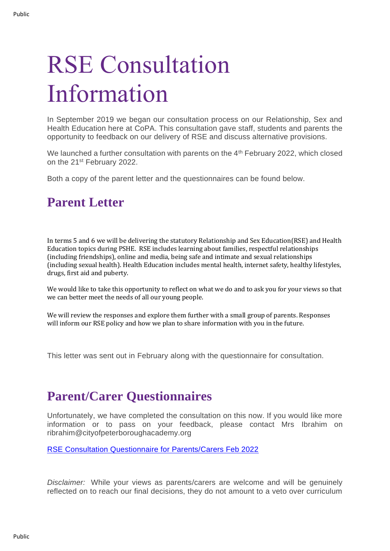## RSE Consultation Information

In September 2019 we began our consultation process on our Relationship, Sex and Health Education here at CoPA. This consultation gave staff, students and parents the opportunity to feedback on our delivery of RSE and discuss alternative provisions.

We launched a further consultation with parents on the 4<sup>th</sup> February 2022, which closed on the 21st February 2022.

Both a copy of the parent letter and the questionnaires can be found below.

## **Parent Letter**

In terms 5 and 6 we will be delivering the statutory Relationship and Sex Education(RSE) and Health Education topics during PSHE. RSE includes learning about families, respectful relationships (including friendships), online and media, being safe and intimate and sexual relationships (including sexual health). Health Education includes mental health, internet safety, healthy lifestyles, drugs, first aid and puberty.

We would like to take this opportunity to reflect on what we do and to ask you for your views so that we can better meet the needs of all our young people.

We will review the responses and explore them further with a small group of parents. Responses will inform our RSE policy and how we plan to share information with you in the future.

This letter was sent out in February along with the questionnaire for consultation.

## **Parent/Carer Questionnaires**

Unfortunately, we have completed the consultation on this now. If you would like more information or to pass on your feedback, please contact Mrs Ibrahim on ribrahim@cityofpeterboroughacademy.org

RSE Consultation [Questionnaire for Parents/Carers Feb 2022](https://forms.office.com/Pages/ResponsePage.aspx?id=WnSRoNi3ek2yphNZBT1FEFIVIUyIC_1OjXHYPbZwToJURTNJTEZLR01SWkdUTk5FOFo5NklJMDFNOC4u)

*Disclaimer:* While your views as parents/carers are welcome and will be genuinely reflected on to reach our final decisions, they do not amount to a veto over curriculum